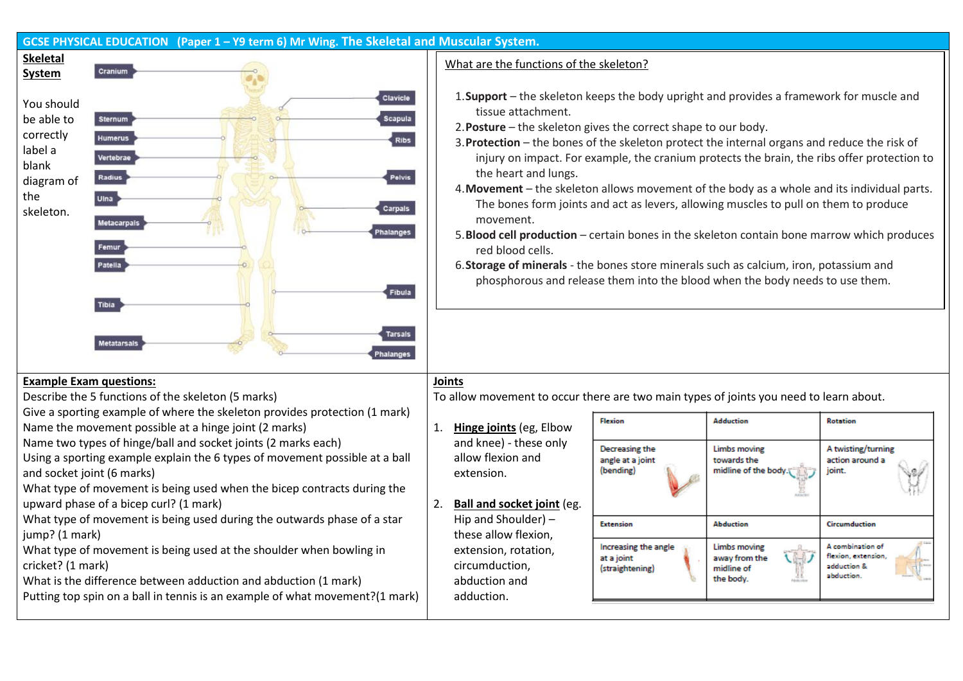| GCSE PHYSICAL EDUCATION (Paper 1 – Y9 term 6) Mr Wing. The Skeletal and Muscular System.                                                                                                                                                                                                                                                                       |                                                                                                                                                                                                                                                                                                                                                                                                                                                                                                                                                                                                                                                                                                                                                                                                                                                                                                          |  |
|----------------------------------------------------------------------------------------------------------------------------------------------------------------------------------------------------------------------------------------------------------------------------------------------------------------------------------------------------------------|----------------------------------------------------------------------------------------------------------------------------------------------------------------------------------------------------------------------------------------------------------------------------------------------------------------------------------------------------------------------------------------------------------------------------------------------------------------------------------------------------------------------------------------------------------------------------------------------------------------------------------------------------------------------------------------------------------------------------------------------------------------------------------------------------------------------------------------------------------------------------------------------------------|--|
| <b>Skeletal</b>                                                                                                                                                                                                                                                                                                                                                | What are the functions of the skeleton?                                                                                                                                                                                                                                                                                                                                                                                                                                                                                                                                                                                                                                                                                                                                                                                                                                                                  |  |
| Cranium<br><b>System</b>                                                                                                                                                                                                                                                                                                                                       |                                                                                                                                                                                                                                                                                                                                                                                                                                                                                                                                                                                                                                                                                                                                                                                                                                                                                                          |  |
| Clavicle<br>You should<br><b>Scapula</b><br>be able to<br><b>Sternum</b><br>correctly<br><b>Humerus</b><br><b>Ribs</b><br>label a<br>Vertebrae<br>blank<br>Pelvis<br>Radius<br>diagram of<br>the<br>Uina<br>Carpals<br>skeleton.<br>Metacarpals<br>halanges<br>Femur<br>Patella<br><b>Fibula</b><br><b>Tibia</b><br>Tarsais<br><b>Metatarsals</b><br>Phalanges | 1. Support – the skeleton keeps the body upright and provides a framework for muscle and<br>tissue attachment.<br>2. Posture - the skeleton gives the correct shape to our body.<br>3. Protection - the bones of the skeleton protect the internal organs and reduce the risk of<br>injury on impact. For example, the cranium protects the brain, the ribs offer protection to<br>the heart and lungs.<br>4. Movement - the skeleton allows movement of the body as a whole and its individual parts.<br>The bones form joints and act as levers, allowing muscles to pull on them to produce<br>movement.<br>5. Blood cell production - certain bones in the skeleton contain bone marrow which produces<br>red blood cells.<br>6. Storage of minerals - the bones store minerals such as calcium, iron, potassium and<br>phosphorous and release them into the blood when the body needs to use them. |  |
| <b>Example Exam questions:</b>                                                                                                                                                                                                                                                                                                                                 | <b>Joints</b>                                                                                                                                                                                                                                                                                                                                                                                                                                                                                                                                                                                                                                                                                                                                                                                                                                                                                            |  |
| Describe the 5 functions of the skeleton (5 marks)                                                                                                                                                                                                                                                                                                             | To allow movement to occur there are two main types of joints you need to learn about.                                                                                                                                                                                                                                                                                                                                                                                                                                                                                                                                                                                                                                                                                                                                                                                                                   |  |
| Give a sporting example of where the skeleton provides protection (1 mark)<br>Name the movement possible at a hinge joint (2 marks)                                                                                                                                                                                                                            | <b>Flexion</b><br><b>Adduction</b><br><b>Rotation</b><br>1.<br>Hinge joints (eg, Elbow                                                                                                                                                                                                                                                                                                                                                                                                                                                                                                                                                                                                                                                                                                                                                                                                                   |  |
| Name two types of hinge/ball and socket joints (2 marks each)<br>Using a sporting example explain the 6 types of movement possible at a ball<br>and socket joint (6 marks)<br>What type of movement is being used when the bicep contracts during the<br>upward phase of a bicep curl? (1 mark)                                                                | and knee) - these only<br>Decreasing the<br>Limbs moving<br>A twisting/turning<br>allow flexion and<br>angle at a joint<br>towards the<br>action around a<br>(bending)<br>midline of the body.<br>joint.<br>extension.<br><b>Ball and socket joint (eg.</b><br>2.                                                                                                                                                                                                                                                                                                                                                                                                                                                                                                                                                                                                                                        |  |
| What type of movement is being used during the outwards phase of a star                                                                                                                                                                                                                                                                                        | Hip and Shoulder) $-$<br><b>Extension</b><br><b>Abduction</b><br>Circumduction                                                                                                                                                                                                                                                                                                                                                                                                                                                                                                                                                                                                                                                                                                                                                                                                                           |  |
| jump? (1 mark)<br>What type of movement is being used at the shoulder when bowling in<br>cricket? (1 mark)<br>What is the difference between adduction and abduction (1 mark)<br>Putting top spin on a ball in tennis is an example of what movement?(1 mark)                                                                                                  | these allow flexion,<br>A combination of<br>Increasing the angle<br>Limbs moving<br>extension, rotation,<br>flexion, extension<br>at a joint<br>away from the<br>circumduction,<br>adduction &<br>(straightening)<br>midline of<br>abduction.<br>48<br>the body.<br>abduction and<br>adduction.                                                                                                                                                                                                                                                                                                                                                                                                                                                                                                                                                                                                          |  |